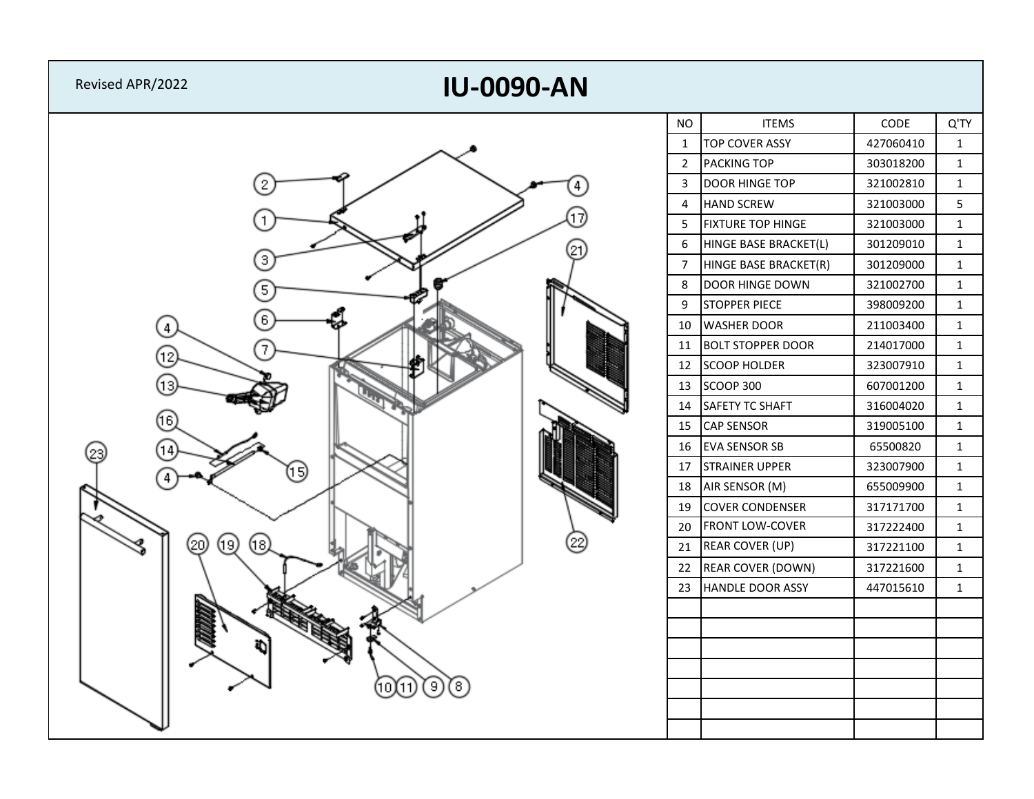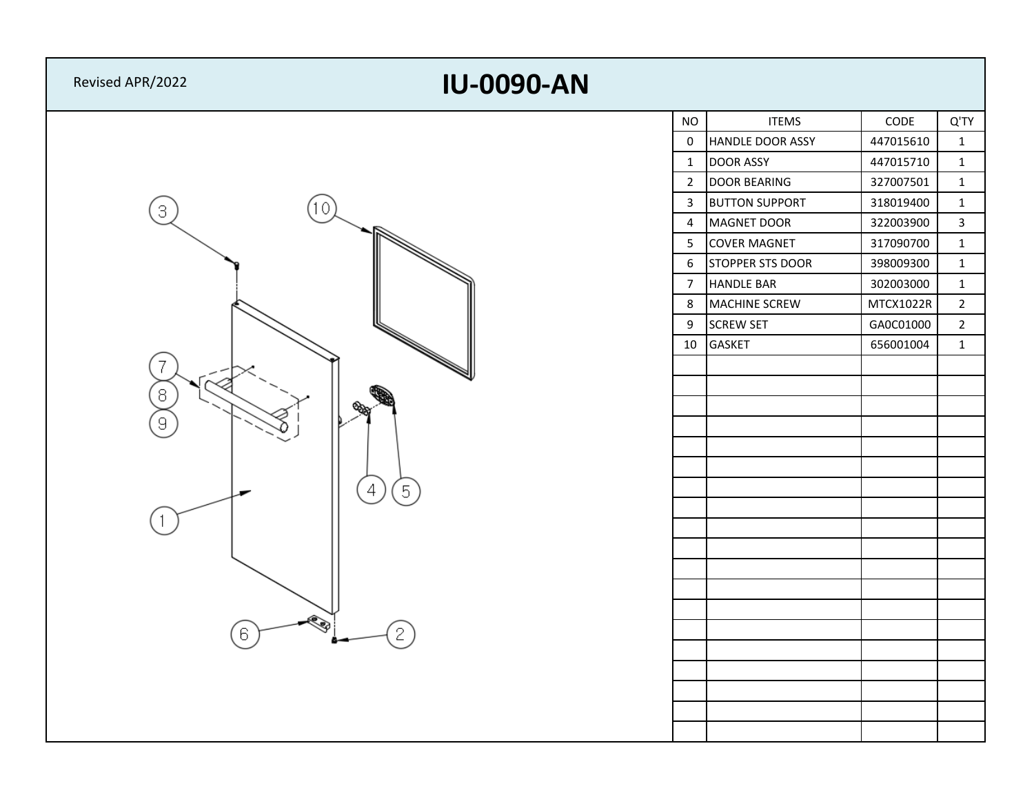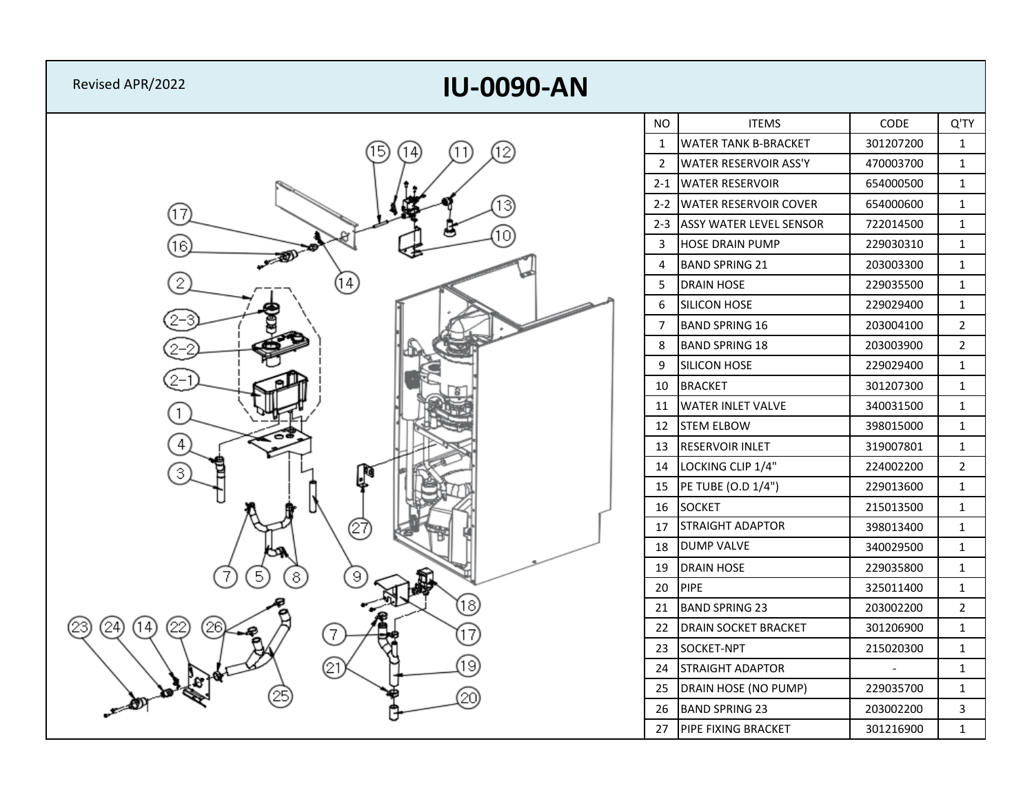| <b>IU-0090-AN</b><br>Revised APR/2022 |                |                                |           |                |
|---------------------------------------|----------------|--------------------------------|-----------|----------------|
|                                       | NO             | <b>ITEMS</b>                   | CODE      | Q'TY           |
| 5<br>(12)<br>(11)<br>14               | $\mathbf{1}$   | <b>WATER TANK B-BRACKET</b>    | 301207200 | $\mathbf{1}$   |
|                                       | $\overline{2}$ | <b>WATER RESERVOIR ASS'Y</b>   | 470003700 | $\mathbf{1}$   |
|                                       | $2 - 1$        | <b>WATER RESERVOIR</b>         | 654000500 | $\mathbf 1$    |
| 17                                    | $2 - 2$        | <b>WATER RESERVOIR COVER</b>   | 654000600 | $\mathbf{1}$   |
|                                       | $2 - 3$        | <b>ASSY WATER LEVEL SENSOR</b> | 722014500 | $\mathbf{1}$   |
| 16.                                   | 3              | <b>HOSE DRAIN PUMP</b>         | 229030310 | $\mathbf 1$    |
| $\mathbb{R}^n$                        | $\overline{4}$ | <b>BAND SPRING 21</b>          | 203003300 | $\mathbf{1}$   |
| 2<br>14)                              | 5              | <b>DRAIN HOSE</b>              | 229035500 | $\mathbf{1}$   |
|                                       | $6\,$          | <b>SILICON HOSE</b>            | 229029400 | $\mathbf{1}$   |
|                                       | $\overline{7}$ | <b>BAND SPRING 16</b>          | 203004100 | $\overline{2}$ |
|                                       | 8              | <b>BAND SPRING 18</b>          | 203003900 | $\overline{2}$ |
|                                       | 9              | <b>SILICON HOSE</b>            | 229029400 | $\mathbf{1}$   |
|                                       | 10             | <b>BRACKET</b>                 | 301207300 | $\mathbf{1}$   |
|                                       | 11             | <b>WATER INLET VALVE</b>       | 340031500 | $\mathbf 1$    |
|                                       | 12             | <b>STEM ELBOW</b>              | 398015000 | $\mathbf{1}$   |
| 4                                     | 13             | <b>RESERVOIR INLET</b>         | 319007801 | $\mathbf{1}$   |
| 3<br>L                                | 14             | LOCKING CLIP 1/4"              | 224002200 | $\overline{2}$ |
|                                       | 15             | PE TUBE (O.D 1/4")             | 229013600 | $\mathbf 1$    |
|                                       | 16             | <b>SOCKET</b>                  | 215013500 | $\mathbf{1}$   |
| (27                                   | 17             | <b>STRAIGHT ADAPTOR</b>        | 398013400 | $\mathbf{1}$   |
|                                       | 18             | <b>DUMP VALVE</b>              | 340029500 | $\mathbf{1}$   |
| 5<br>8<br>9                           | 19             | <b>DRAIN HOSE</b>              | 229035800 | $\mathbf{1}$   |
|                                       | 20             | PIPE                           | 325011400 | $\mathbf{1}$   |
| (18)                                  | 21             | <b>BAND SPRING 23</b>          | 203002200 | $\overline{2}$ |
| 24<br>14<br>22<br>26<br>7<br>17       | 22             | <b>DRAIN SOCKET BRACKET</b>    | 301206900 | $\mathbf 1$    |
|                                       | 23             | SOCKET-NPT                     | 215020300 | $\mathbf{1}$   |
| 19<br>21                              | 24             | <b>STRAIGHT ADAPTOR</b>        |           | $\mathbf{1}$   |
| c<br>20                               | 25             | DRAIN HOSE (NO PUMP)           | 229035700 | $\mathbf{1}$   |
| $-40$                                 | 26             | <b>BAND SPRING 23</b>          | 203002200 | $\mathbf{3}$   |
|                                       | 27             | PIPE FIXING BRACKET            | 301216900 | $\mathbf{1}$   |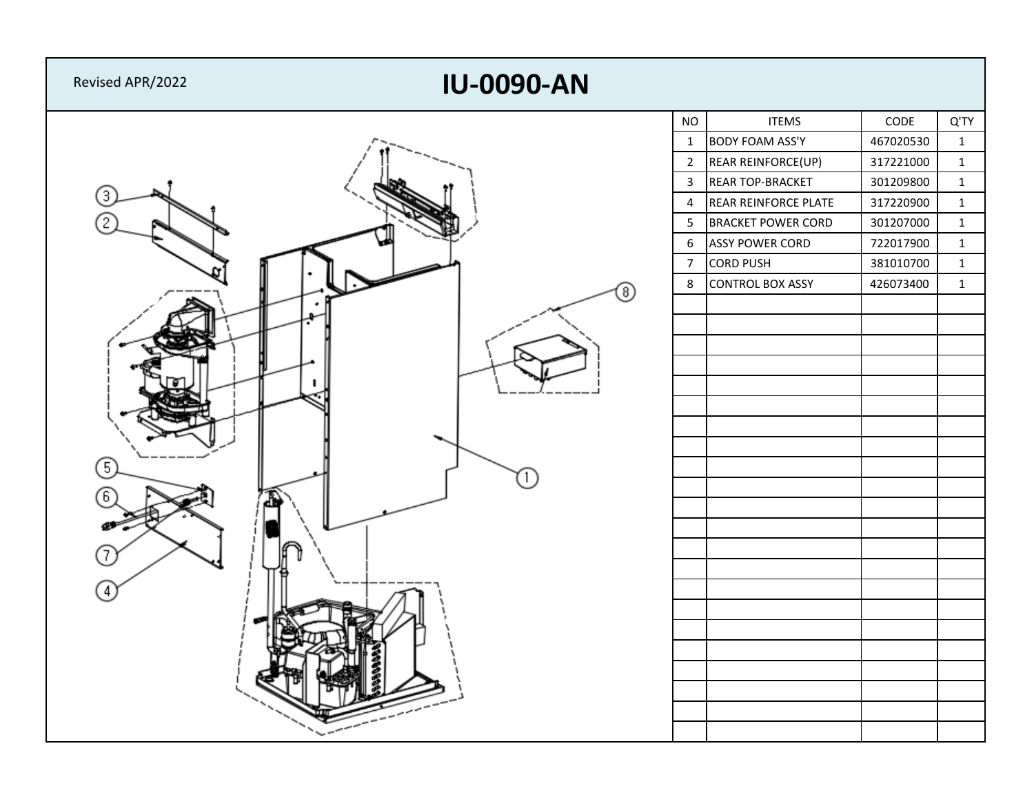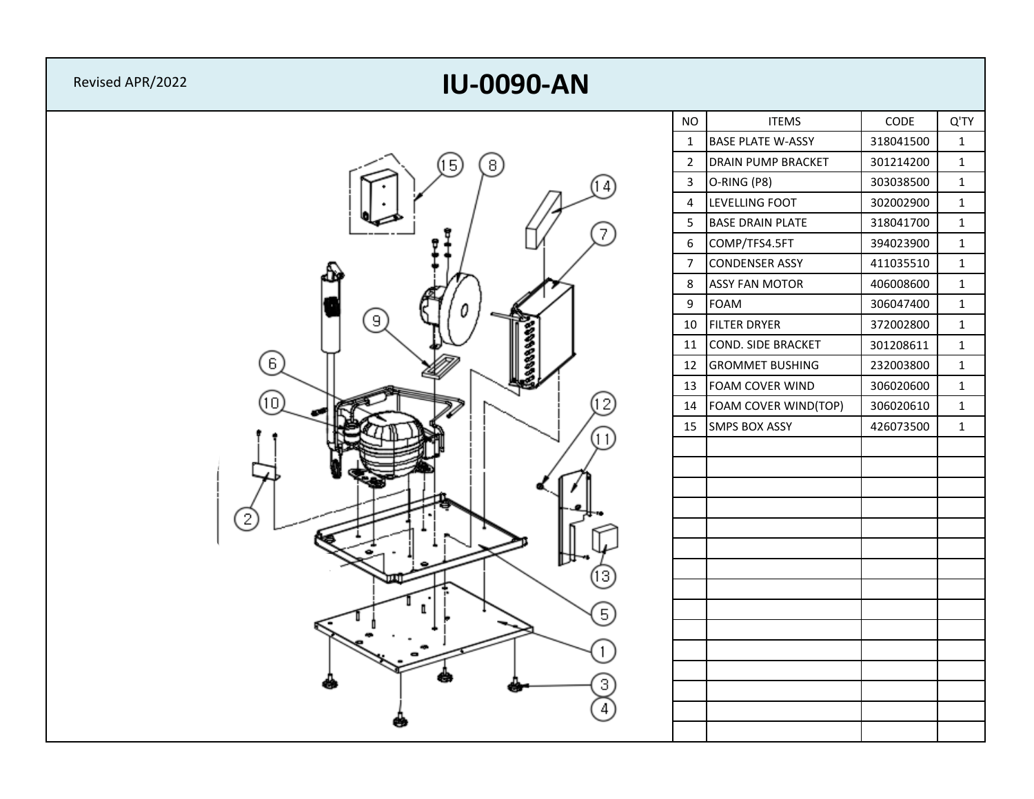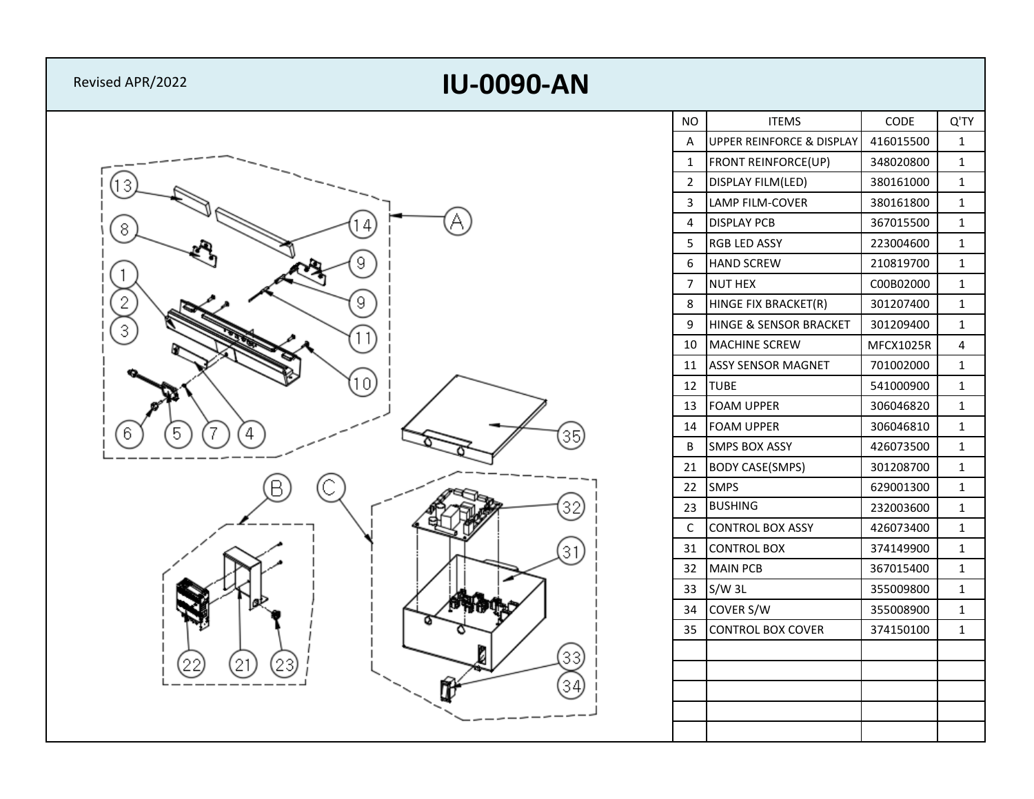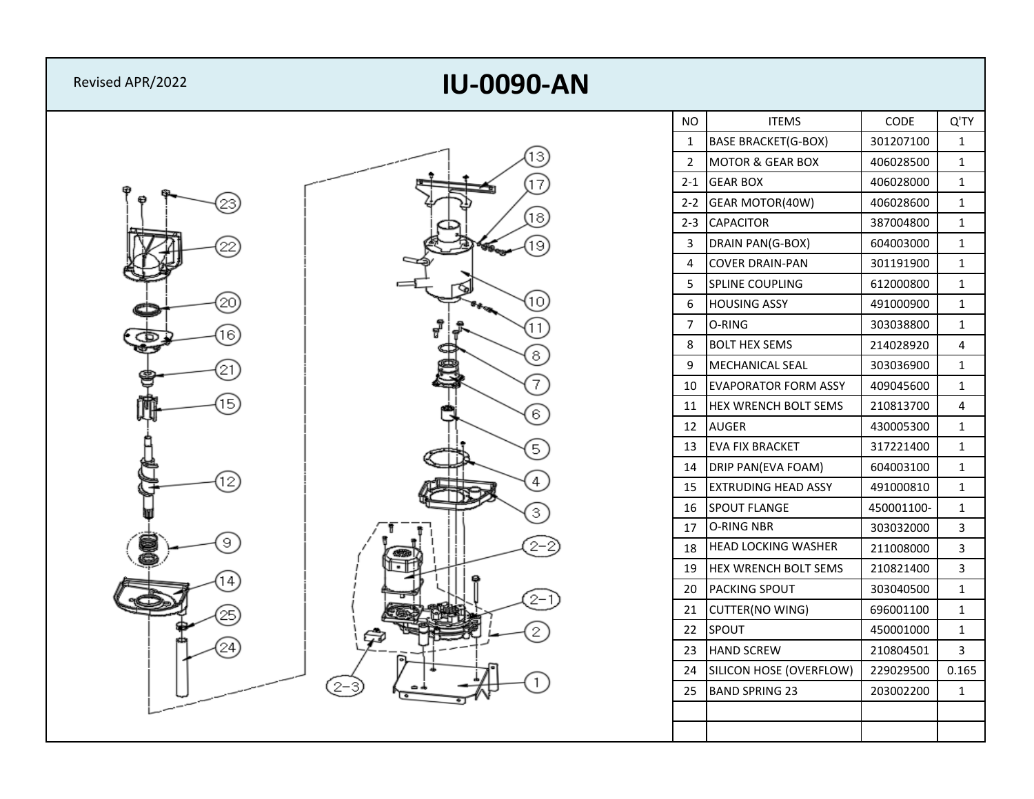